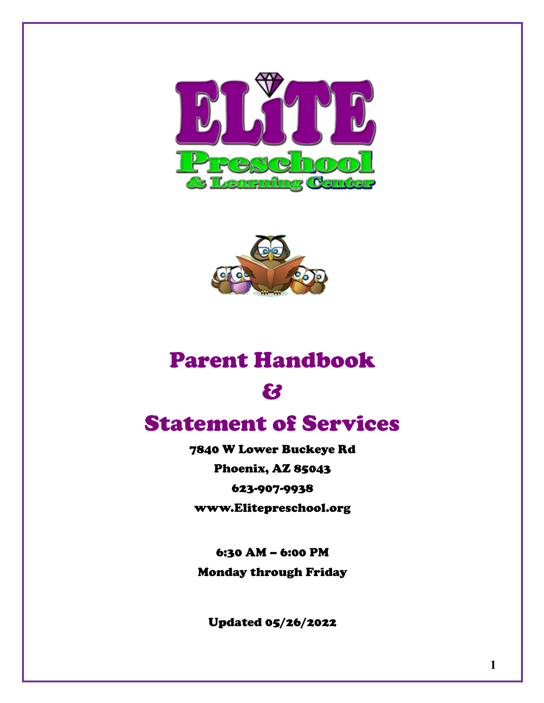



# Parent Handbook

&

# Statement of Services

7840 W Lower Buckeye Rd Phoenix, AZ 85043 623-907-9938 www.Elitepreschool.org

6:30 AM – 6:00 PM Monday through Friday

Updated 05/26/2022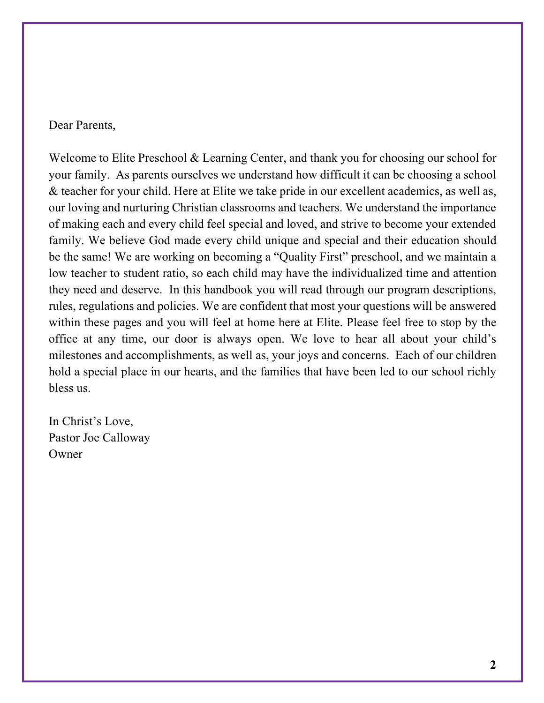Dear Parents,

Welcome to Elite Preschool & Learning Center, and thank you for choosing our school for your family. As parents ourselves we understand how difficult it can be choosing a school & teacher for your child. Here at Elite we take pride in our excellent academics, as well as, our loving and nurturing Christian classrooms and teachers. We understand the importance of making each and every child feel special and loved, and strive to become your extended family. We believe God made every child unique and special and their education should be the same! We are working on becoming a "Quality First" preschool, and we maintain a low teacher to student ratio, so each child may have the individualized time and attention they need and deserve. In this handbook you will read through our program descriptions, rules, regulations and policies. We are confident that most your questions will be answered within these pages and you will feel at home here at Elite. Please feel free to stop by the office at any time, our door is always open. We love to hear all about your child's milestones and accomplishments, as well as, your joys and concerns. Each of our children hold a special place in our hearts, and the families that have been led to our school richly bless us.

In Christ's Love, Pastor Joe Calloway **Owner**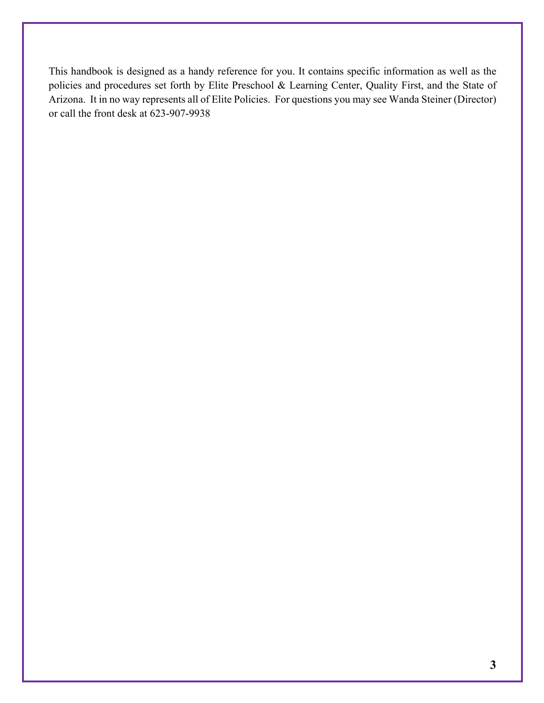This handbook is designed as a handy reference for you. It contains specific information as well as the policies and procedures set forth by Elite Preschool & Learning Center, Quality First, and the State of Arizona. It in no way represents all of Elite Policies. For questions you may see Wanda Steiner (Director) or call the front desk at 623-907-9938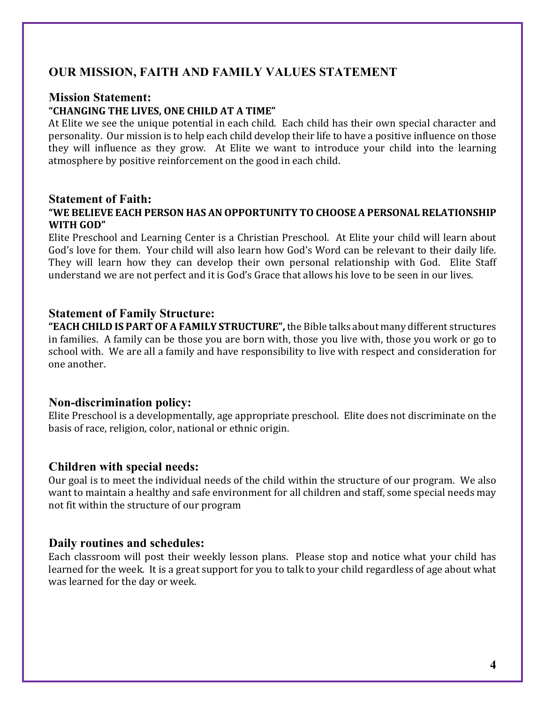# **OUR MISSION, FAITH AND FAMILY VALUES STATEMENT**

#### **Mission Statement:**

#### **"CHANGING THE LIVES, ONE CHILD AT A TIME"**

At Elite we see the unique potential in each child. Each child has their own special character and personality. Our mission is to help each child develop their life to have a positive influence on those they will influence as they grow. At Elite we want to introduce your child into the learning atmosphere by positive reinforcement on the good in each child.

#### **Statement of Faith: "WE BELIEVE EACH PERSON HAS AN OPPORTUNITY TO CHOOSE A PERSONAL RELATIONSHIP WITH GOD"**

Elite Preschool and Learning Center is a Christian Preschool. At Elite your child will learn about God's love for them. Your child will also learn how God's Word can be relevant to their daily life. They will learn how they can develop their own personal relationship with God. Elite Staff understand we are not perfect and it is God's Grace that allows his love to be seen in our lives.

#### **Statement of Family Structure:**

"EACH CHILD IS PART OF A FAMILY STRUCTURE", the Bible talks about many different structures in families. A family can be those you are born with, those you live with, those you work or go to school with. We are all a family and have responsibility to live with respect and consideration for one another.

#### **Non-discrimination policy:**

Elite Preschool is a developmentally, age appropriate preschool. Elite does not discriminate on the basis of race, religion, color, national or ethnic origin.

#### **Children with special needs:**

Our goal is to meet the individual needs of the child within the structure of our program. We also want to maintain a healthy and safe environment for all children and staff, some special needs may not fit within the structure of our program

#### **Daily routines and schedules:**

Each classroom will post their weekly lesson plans. Please stop and notice what your child has learned for the week. It is a great support for you to talk to your child regardless of age about what was learned for the day or week.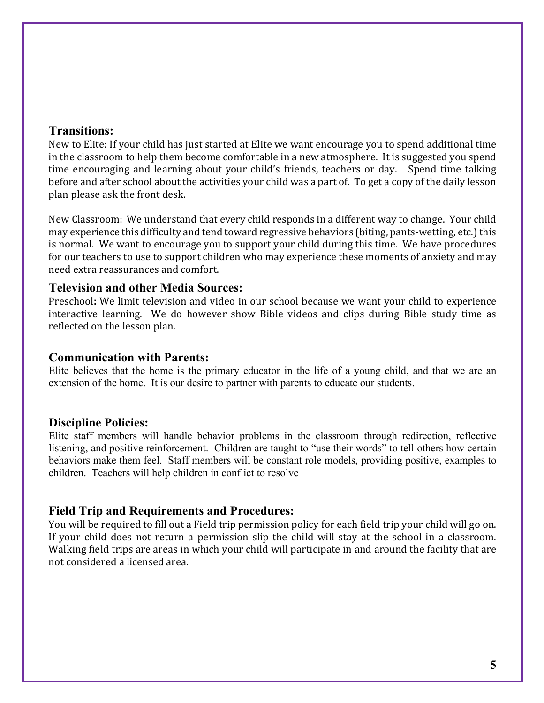### **Transitions:**

New to Elite: If your child has just started at Elite we want encourage you to spend additional time in the classroom to help them become comfortable in a new atmosphere. It is suggested you spend time encouraging and learning about your child's friends, teachers or day. Spend time talking before and after school about the activities your child was a part of. To get a copy of the daily lesson plan please ask the front desk.

New Classroom: We understand that every child responds in a different way to change. Your child may experience this difficulty and tend toward regressive behaviors (biting, pants-wetting, etc.) this is normal. We want to encourage you to support your child during this time. We have procedures for our teachers to use to support children who may experience these moments of anxiety and may need extra reassurances and comfort.

#### **Television and other Media Sources:**

Preschool: We limit television and video in our school because we want your child to experience interactive learning. We do however show Bible videos and clips during Bible study time as reflected on the lesson plan.

### **Communication with Parents:**

Elite believes that the home is the primary educator in the life of a young child, and that we are an extension of the home. It is our desire to partner with parents to educate our students.

## **Discipline Policies:**

Elite staff members will handle behavior problems in the classroom through redirection, reflective listening, and positive reinforcement. Children are taught to "use their words" to tell others how certain behaviors make them feel. Staff members will be constant role models, providing positive, examples to children. Teachers will help children in conflict to resolve

## **Field Trip and Requirements and Procedures:**

You will be required to fill out a Field trip permission policy for each field trip your child will go on. If your child does not return a permission slip the child will stay at the school in a classroom. Walking field trips are areas in which your child will participate in and around the facility that are not considered a licensed area.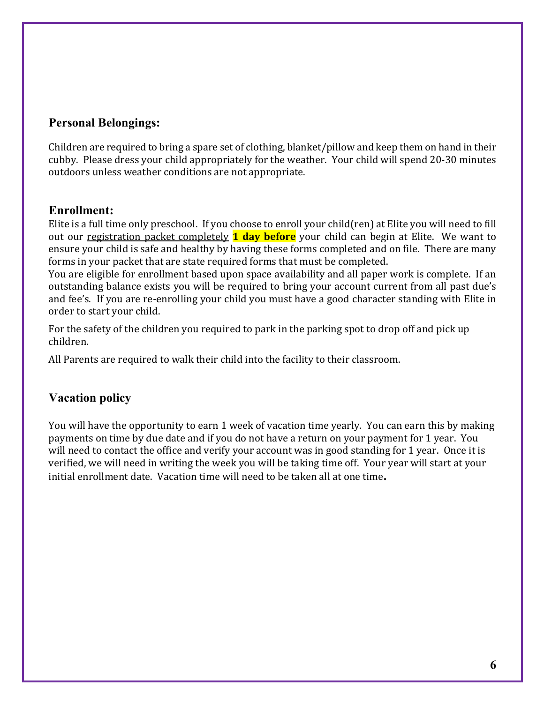# **Personal Belongings:**

Children are required to bring a spare set of clothing, blanket/pillow and keep them on hand in their cubby. Please dress your child appropriately for the weather. Your child will spend 20-30 minutes outdoors unless weather conditions are not appropriate.

# **Enrollment:**

Elite is a full time only preschool. If you choose to enroll your child(ren) at Elite you will need to fill out our registration packet completely **1 day before** your child can begin at Elite. We want to ensure your child is safe and healthy by having these forms completed and on file. There are many forms in your packet that are state required forms that must be completed.

You are eligible for enrollment based upon space availability and all paper work is complete. If an outstanding balance exists you will be required to bring your account current from all past due's and fee's. If you are re-enrolling your child you must have a good character standing with Elite in order to start your child.

For the safety of the children you required to park in the parking spot to drop off and pick up children.

All Parents are required to walk their child into the facility to their classroom.

# **Vacation policy**

You will have the opportunity to earn 1 week of vacation time yearly. You can earn this by making payments on time by due date and if you do not have a return on your payment for 1 year. You will need to contact the office and verify your account was in good standing for 1 year. Once it is verified, we will need in writing the week you will be taking time off. Your year will start at your initial enrollment date. Vacation time will need to be taken all at one time.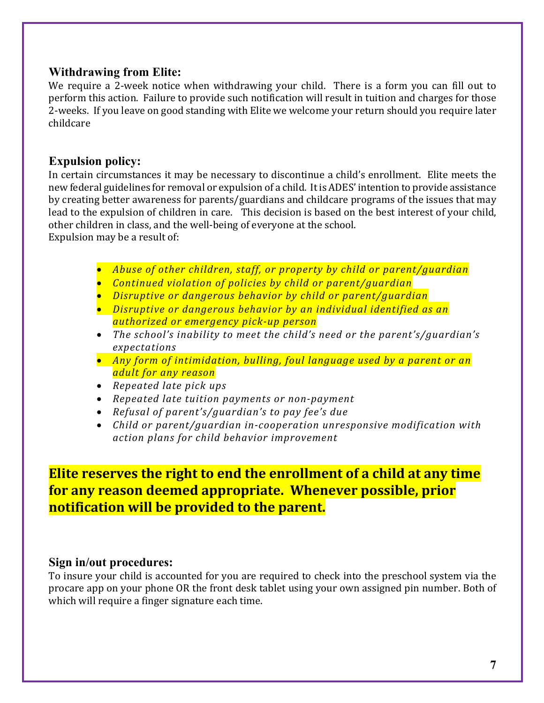# **Withdrawing from Elite:**

We require a 2-week notice when withdrawing your child. There is a form you can fill out to perform this action. Failure to provide such notification will result in tuition and charges for those 2-weeks. If you leave on good standing with Elite we welcome your return should you require later childcare

## **Expulsion policy:**

In certain circumstances it may be necessary to discontinue a child's enrollment. Elite meets the new federal guidelines for removal or expulsion of a child. It is ADES' intention to provide assistance by creating better awareness for parents/guardians and childcare programs of the issues that may lead to the expulsion of children in care. This decision is based on the best interest of your child, other children in class, and the well-being of everyone at the school. Expulsion may be a result of:

- *Abuse of other children, staff, or property by child or parent/guardian*
- **•** *Continued violation of policies by child or parent/guardian*
- **•** Disruptive or dangerous behavior by child or parent/guardian
- **•** Disruptive or dangerous behavior by an individual identified as an *authorized or emergency pick-up person*
- The school's inability to meet the child's need or the parent's/guardian's *expectations*
- Any form of intimidation, bulling, foul language used by a parent or an *adult for any reason*
- *Repeated late pick ups*
- *Repeated late tuition payments or non-payment*
- *Refusal of parent's/guardian's to pay fee's due*
- Child or parent/guardian in-cooperation unresponsive modification with *action plans for child behavior improvement*

**Elite reserves the right to end the enrollment of a child at any time** for any reason deemed appropriate. Whenever possible, prior **notification will be provided to the parent.** 

## **Sign in/out procedures:**

To insure your child is accounted for you are required to check into the preschool system via the procare app on your phone OR the front desk tablet using your own assigned pin number. Both of which will require a finger signature each time.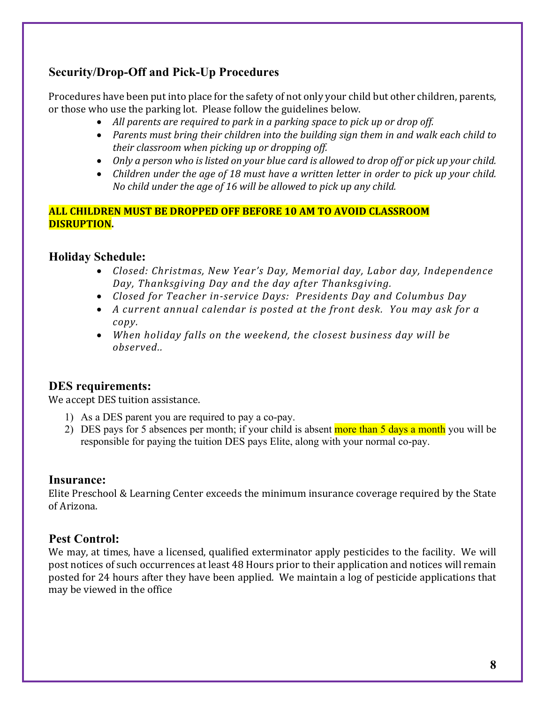# **Security/Drop-Off and Pick-Up Procedures**

Procedures have been put into place for the safety of not only your child but other children, parents, or those who use the parking lot. Please follow the guidelines below.

- All parents are required to park in a parking space to pick up or drop off.
- Parents must bring their children into the building sign them in and walk each child to *their classroom when picking up or dropping off.*
- Only a person who is listed on your blue card is allowed to drop off or pick up your child.
- Children under the age of 18 must have a written letter in order to pick up your child. *No child under the age of 16 will be allowed to pick up any child.*

### **ALL CHILDREN MUST BE DROPPED OFF BEFORE 10 AM TO AVOID CLASSROOM DISRUPTION.**

# **Holiday Schedule:**

- *Closed: Christmas, New Year's Day, Memorial day, Labor day, Independence Day, Thanksgiving Day and the day after Thanksgiving.*
- *Closed for Teacher in-service Days: Presidents Day and Columbus Day*
- A current annual calendar is posted at the front desk. You may ask for a *copy.*
- When holiday falls on the weekend, the closest business day will be *observed..*

# **DES requirements:**

We accept DES tuition assistance.

- 1) As a DES parent you are required to pay a co-pay.
- 2) DES pays for 5 absences per month; if your child is absent more than 5 days a month you will be responsible for paying the tuition DES pays Elite, along with your normal co-pay.

## **Insurance:**

Elite Preschool & Learning Center exceeds the minimum insurance coverage required by the State of Arizona.

# **Pest Control:**

We may, at times, have a licensed, qualified exterminator apply pesticides to the facility. We will post notices of such occurrences at least 48 Hours prior to their application and notices will remain posted for 24 hours after they have been applied. We maintain a log of pesticide applications that may be viewed in the office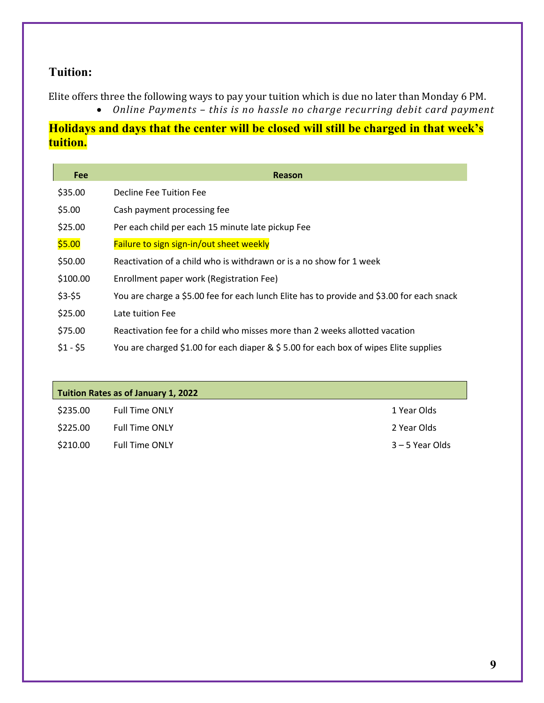# **Tuition:**

Elite offers three the following ways to pay your tuition which is due no later than Monday 6 PM.

• Online Payments - this is no hassle no charge recurring debit card payment

# **Holidays and days that the center will be closed will still be charged in that week's tuition.**

| Fee       | <b>Reason</b>                                                                             |
|-----------|-------------------------------------------------------------------------------------------|
| \$35.00   | Decline Fee Tuition Fee                                                                   |
| \$5.00    | Cash payment processing fee                                                               |
| \$25.00   | Per each child per each 15 minute late pickup Fee                                         |
| \$5.00    | Failure to sign sign-in/out sheet weekly                                                  |
| \$50.00   | Reactivation of a child who is withdrawn or is a no show for 1 week                       |
| \$100.00  | Enrollment paper work (Registration Fee)                                                  |
| $$3-$5$   | You are charge a \$5.00 fee for each lunch Elite has to provide and \$3.00 for each snack |
| \$25.00   | Late tuition Fee                                                                          |
| \$75.00   | Reactivation fee for a child who misses more than 2 weeks allotted vacation               |
| $$1 - $5$ | You are charged \$1.00 for each diaper & \$5.00 for each box of wipes Elite supplies      |

| Tuition Rates as of January 1, 2022 |                       |                 |  |
|-------------------------------------|-----------------------|-----------------|--|
| \$235.00                            | <b>Full Time ONLY</b> | 1 Year Olds     |  |
| \$225.00                            | <b>Full Time ONLY</b> | 2 Year Olds     |  |
| \$210.00                            | <b>Full Time ONLY</b> | 3 – 5 Year Olds |  |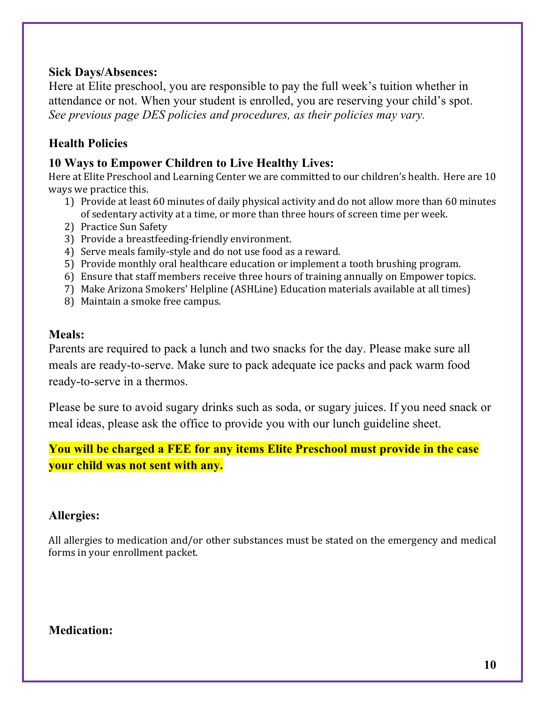# **Sick Days/Absences:**

Here at Elite preschool, you are responsible to pay the full week's tuition whether in attendance or not. When your student is enrolled, you are reserving your child's spot. *See previous page DES policies and procedures, as their policies may vary.*

# **Health Policies**

# **10 Ways to Empower Children to Live Healthy Lives:**

Here at Elite Preschool and Learning Center we are committed to our children's health. Here are 10 ways we practice this.

- 1) Provide at least 60 minutes of daily physical activity and do not allow more than 60 minutes of sedentary activity at a time, or more than three hours of screen time per week.
- 2) Practice Sun Safety
- 3) Provide a breastfeeding-friendly environment.
- 4) Serve meals family-style and do not use food as a reward.
- 5) Provide monthly oral healthcare education or implement a tooth brushing program.
- 6) Ensure that staff members receive three hours of training annually on Empower topics.
- 7) Make Arizona Smokers' Helpline (ASHLine) Education materials available at all times)
- 8) Maintain a smoke free campus.

# **Meals:**

Parents are required to pack a lunch and two snacks for the day. Please make sure all meals are ready-to-serve. Make sure to pack adequate ice packs and pack warm food ready-to-serve in a thermos.

Please be sure to avoid sugary drinks such as soda, or sugary juices. If you need snack or meal ideas, please ask the office to provide you with our lunch guideline sheet.

**You will be charged a FEE for any items Elite Preschool must provide in the case your child was not sent with any.**

# **Allergies:**

All allergies to medication and/or other substances must be stated on the emergency and medical forms in your enrollment packet.

# **Medication:**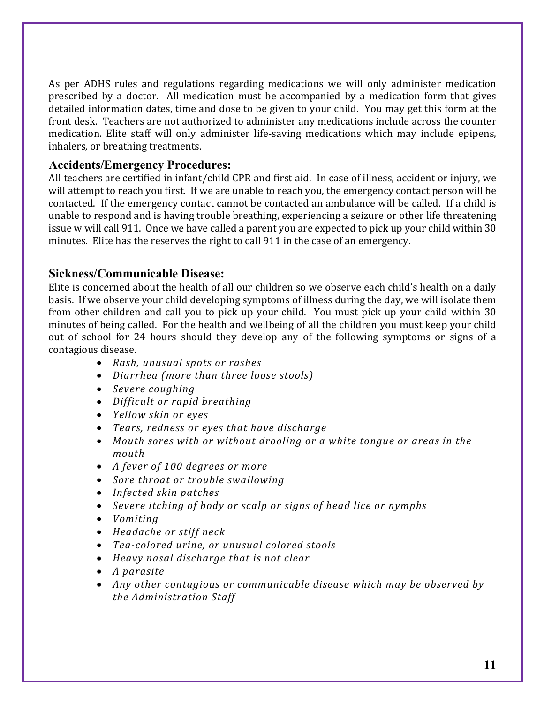As per ADHS rules and regulations regarding medications we will only administer medication prescribed by a doctor. All medication must be accompanied by a medication form that gives detailed information dates, time and dose to be given to your child. You may get this form at the front desk. Teachers are not authorized to administer any medications include across the counter medication. Elite staff will only administer life-saving medications which may include epipens, inhalers, or breathing treatments.

## **Accidents/Emergency Procedures:**

All teachers are certified in infant/child CPR and first aid. In case of illness, accident or injury, we will attempt to reach you first. If we are unable to reach you, the emergency contact person will be contacted. If the emergency contact cannot be contacted an ambulance will be called. If a child is unable to respond and is having trouble breathing, experiencing a seizure or other life threatening issue w will call 911. Once we have called a parent you are expected to pick up your child within 30 minutes. Elite has the reserves the right to call 911 in the case of an emergency.

# **Sickness/Communicable Disease:**

Elite is concerned about the health of all our children so we observe each child's health on a daily basis. If we observe your child developing symptoms of illness during the day, we will isolate them from other children and call you to pick up your child. You must pick up your child within 30 minutes of being called. For the health and wellbeing of all the children you must keep your child out of school for 24 hours should they develop any of the following symptoms or signs of a contagious disease.

- *Rash, unusual spots or rashes*
- *Diarrhea* (more than three loose stools)
- *Severe coughing*
- *Difficult or rapid breathing*
- *Yellow skin or eyes*
- Tears, redness or eyes that have discharge
- Mouth sores with or without drooling or a white tongue or areas in the *mouth*
- *A fever of 100 degrees or more*
- *Sore throat or trouble swallowing*
- *Infected skin patches*
- Severe *itching of body or scalp or signs of head lice or nymphs*
- *Vomiting*
- *Headache or stiff neck*
- Tea-colored urine, or unusual colored stools
- *Heavy* nasal discharge that is not clear
- *A parasite*
- Any other contagious or communicable disease which may be observed by *the Administration Staff*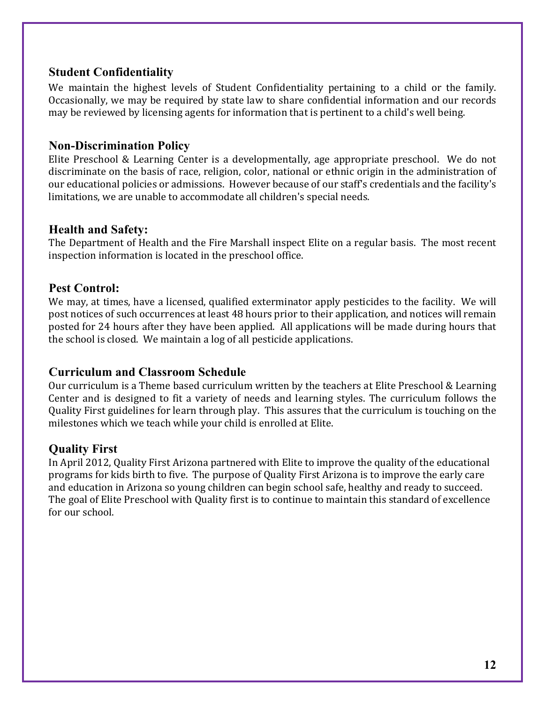# **Student Confidentiality**

We maintain the highest levels of Student Confidentiality pertaining to a child or the family. Occasionally, we may be required by state law to share confidential information and our records may be reviewed by licensing agents for information that is pertinent to a child's well being.

## **Non-Discrimination Policy**

Elite Preschool & Learning Center is a developmentally, age appropriate preschool. We do not discriminate on the basis of race, religion, color, national or ethnic origin in the administration of our educational policies or admissions. However because of our staff's credentials and the facility's limitations, we are unable to accommodate all children's special needs.

# **Health and Safety:**

The Department of Health and the Fire Marshall inspect Elite on a regular basis. The most recent inspection information is located in the preschool office.

# **Pest Control:**

We may, at times, have a licensed, qualified exterminator apply pesticides to the facility. We will post notices of such occurrences at least 48 hours prior to their application, and notices will remain posted for 24 hours after they have been applied. All applications will be made during hours that the school is closed. We maintain a log of all pesticide applications.

# **Curriculum and Classroom Schedule**

Our curriculum is a Theme based curriculum written by the teachers at Elite Preschool & Learning Center and is designed to fit a variety of needs and learning styles. The curriculum follows the Quality First guidelines for learn through play. This assures that the curriculum is touching on the milestones which we teach while your child is enrolled at Elite.

# **Quality First**

In April 2012, Quality First Arizona partnered with Elite to improve the quality of the educational programs for kids birth to five. The purpose of Quality First Arizona is to improve the early care and education in Arizona so young children can begin school safe, healthy and ready to succeed. The goal of Elite Preschool with Quality first is to continue to maintain this standard of excellence for our school.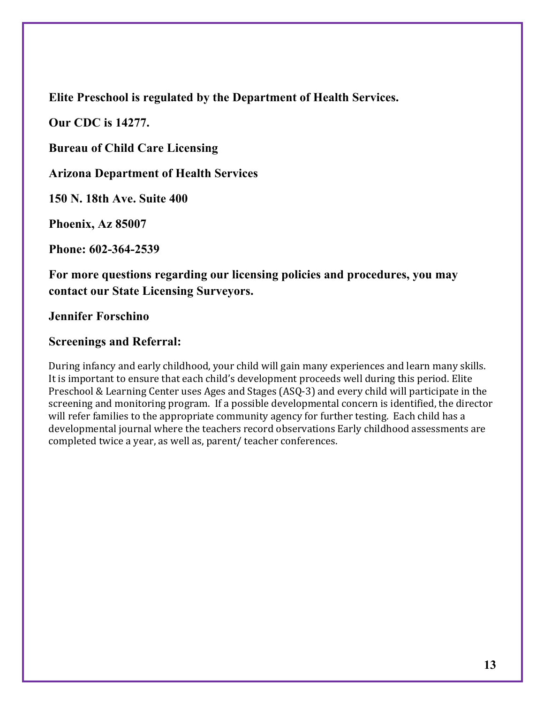**Elite Preschool is regulated by the Department of Health Services.**

**Our CDC is 14277.**

**Bureau of Child Care Licensing** 

**Arizona Department of Health Services**

**150 N. 18th Ave. Suite 400**

**Phoenix, Az 85007**

**Phone: 602-364-2539**

**For more questions regarding our licensing policies and procedures, you may contact our State Licensing Surveyors.**

**Jennifer Forschino**

## **Screenings and Referral:**

During infancy and early childhood, your child will gain many experiences and learn many skills. It is important to ensure that each child's development proceeds well during this period. Elite Preschool & Learning Center uses Ages and Stages (ASQ-3) and every child will participate in the screening and monitoring program. If a possible developmental concern is identified, the director will refer families to the appropriate community agency for further testing. Each child has a developmental journal where the teachers record observations Early childhood assessments are completed twice a year, as well as, parent/ teacher conferences.